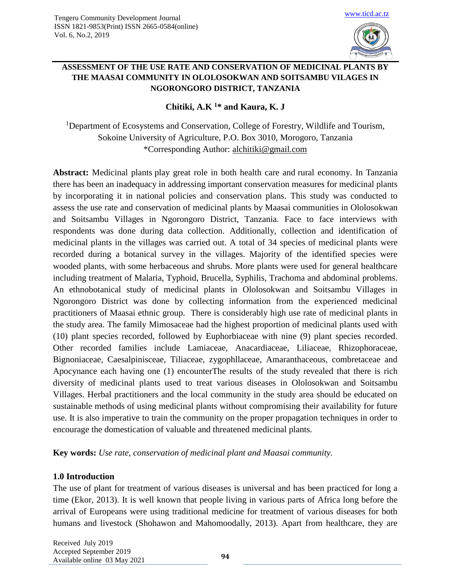

## **ASSESSMENT OF THE USE RATE AND CONSERVATION OF MEDICINAL PLANTS BY THE MAASAI COMMUNITY IN OLOLOSOKWAN AND SOITSAMBU VILAGES IN NGORONGORO DISTRICT, TANZANIA**

# **Chitiki, A.K <sup>1</sup>\* and Kaura, K. J**

<sup>1</sup>Department of Ecosystems and Conservation, College of Forestry, Wildlife and Tourism, Sokoine University of Agriculture, P.O. Box 3010, Morogoro, Tanzania \*Corresponding Author: [alchitiki@gmail.com](mailto:alchitiki@gmail.com)

**Abstract:** Medicinal plants play great role in both health care and rural economy. In Tanzania there has been an inadequacy in addressing important conservation measures for medicinal plants by incorporating it in national policies and conservation plans. This study was conducted to assess the use rate and conservation of medicinal plants by Maasai communities in Ololosokwan and Soitsambu Villages in Ngorongoro District, Tanzania. Face to face interviews with respondents was done during data collection. Additionally, collection and identification of medicinal plants in the villages was carried out. A total of 34 species of medicinal plants were recorded during a botanical survey in the villages. Majority of the identified species were wooded plants, with some herbaceous and shrubs. More plants were used for general healthcare including treatment of Malaria, Typhoid, Brucella, Syphilis, Trachoma and abdominal problems. An ethnobotanical study of medicinal plants in Ololosokwan and Soitsambu Villages in Ngorongoro District was done by collecting information from the experienced medicinal practitioners of Maasai ethnic group. There is considerably high use rate of medicinal plants in the study area. The family Mimosaceae had the highest proportion of medicinal plants used with (10) plant species recorded, followed by Euphorbiaceae with nine (9) plant species recorded. Other recorded families include Lamiaceae, Anacardiaceae, Liliaceae, Rhizophoraceae, Bignoniaceae, Caesalpinisceae, Tiliaceae, zygophllaceae, Amaranthaceous, combretaceae and Apocynance each having one (1) encounterThe results of the study revealed that there is rich diversity of medicinal plants used to treat various diseases in Ololosokwan and Soitsambu Villages. Herbal practitioners and the local community in the study area should be educated on sustainable methods of using medicinal plants without compromising their availability for future use. It is also imperative to train the community on the proper propagation techniques in order to encourage the domestication of valuable and threatened medicinal plants.

**Key words:** *Use rate, conservation of medicinal plant and Maasai community.*

## **1.0 Introduction**

The use of plant for treatment of various diseases is universal and has been practiced for long a time (Ekor, 2013). It is well known that people living in various parts of Africa long before the arrival of Europeans were using traditional medicine for treatment of various diseases for both humans and livestock (Shohawon and Mahomoodally, 2013). Apart from healthcare, they are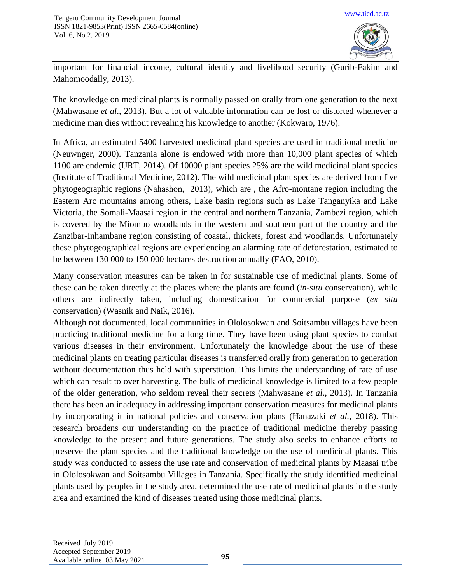

important for financial income, cultural identity and livelihood security (Gurib-Fakim and Mahomoodally, 2013).

The knowledge on medicinal plants is normally passed on orally from one generation to the next [\(Mahwasane](https://www.sciencedirect.com/science/article/pii/S0254629913002615#!) *et al*., 2013). But a lot of valuable information can be lost or distorted whenever a medicine man dies without revealing his knowledge to another (Kokwaro, 1976).

In Africa, an estimated 5400 harvested medicinal plant species are used in traditional medicine (Neuwnger, 2000). Tanzania alone is endowed with more than 10,000 plant species of which 1100 are endemic (URT, 2014). Of 10000 plant species 25% are the wild medicinal plant species (Institute of Traditional Medicine, 2012). The wild medicinal plant species are derived from five phytogeographic regions (Nahashon, 2013), which are , the Afro-montane region including the Eastern Arc mountains among others, Lake basin regions such as Lake Tanganyika and Lake Victoria, the Somali-Maasai region in the central and northern Tanzania, Zambezi region, which is covered by the Miombo woodlands in the western and southern part of the country and the Zanzibar-Inhambane region consisting of coastal, thickets, forest and woodlands. Unfortunately these phytogeographical regions are experiencing an alarming rate of deforestation, estimated to be between 130 000 to 150 000 hectares destruction annually (FAO, 2010).

Many conservation measures can be taken in for sustainable use of medicinal plants. Some of these can be taken directly at the places where the plants are found (*in-situ* conservation), while others are indirectly taken, including domestication for commercial purpose (*ex situ*  conservation) (Wasnik and Naik, 2016).

Although not documented, local communities in Ololosokwan and Soitsambu villages have been practicing traditional medicine for a long time. They have been using plant species to combat various diseases in their environment. Unfortunately the knowledge about the use of these medicinal plants on treating particular diseases is transferred orally from generation to generation without documentation thus held with superstition. This limits the understanding of rate of use which can result to over harvesting. The bulk of medicinal knowledge is limited to a few people of the older generation, who seldom reveal their secrets [\(Mahwasane](https://www.sciencedirect.com/science/article/pii/S0254629913002615#!) *et al*., 2013). In Tanzania there has been an inadequacy in addressing important conservation measures for medicinal plants by incorporating it in national policies and conservation plans (Hanazaki *et al.,* 2018). This research broadens our understanding on the practice of traditional medicine thereby passing knowledge to the present and future generations. The study also seeks to enhance efforts to preserve the plant species and the traditional knowledge on the use of medicinal plants. This study was conducted to assess the use rate and conservation of medicinal plants by Maasai tribe in Ololosokwan and Soitsambu Villages in Tanzania. Specifically the study identified medicinal plants used by peoples in the study area, determined the use rate of medicinal plants in the study area and examined the kind of diseases treated using those medicinal plants.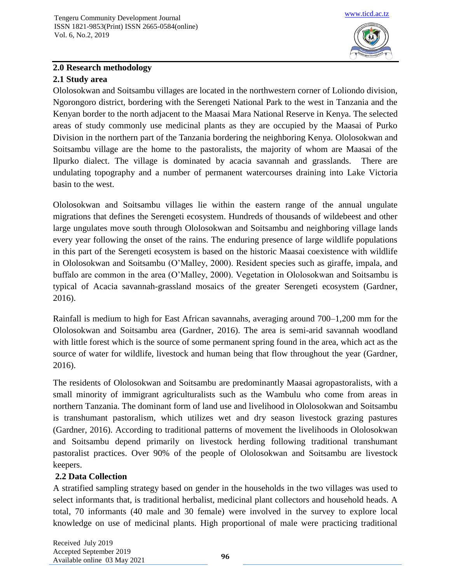

# **2.0 Research methodology**

## **2.1 Study area**

Ololosokwan and Soitsambu villages are located in the northwestern corner of Loliondo division, Ngorongoro district, bordering with the Serengeti National Park to the west in Tanzania and the Kenyan border to the north adjacent to the Maasai Mara National Reserve in Kenya. The selected areas of study commonly use medicinal plants as they are occupied by the Maasai of Purko Division in the northern part of the Tanzania bordering the neighboring Kenya. Ololosokwan and Soitsambu village are the home to the pastoralists, the majority of whom are Maasai of the Ilpurko dialect. The village is dominated by acacia savannah and grasslands. There are undulating topography and a number of permanent watercourses draining into Lake Victoria basin to the west.

Ololosokwan and Soitsambu villages lie within the eastern range of the annual ungulate migrations that defines the Serengeti ecosystem. Hundreds of thousands of wildebeest and other large ungulates move south through Ololosokwan and Soitsambu and neighboring village lands every year following the onset of the rains. The enduring presence of large wildlife populations in this part of the Serengeti ecosystem is based on the historic Maasai coexistence with wildlife in Ololosokwan and Soitsambu (O'Malley, 2000). Resident species such as giraffe, impala, and buffalo are common in the area (O'Malley, 2000). Vegetation in Ololosokwan and Soitsambu is typical of Acacia savannah-grassland mosaics of the greater Serengeti ecosystem (Gardner, 2016).

Rainfall is medium to high for East African savannahs, averaging around 700–1,200 mm for the Ololosokwan and Soitsambu area (Gardner, 2016). The area is semi-arid savannah woodland with little forest which is the source of some permanent spring found in the area, which act as the source of water for wildlife, livestock and human being that flow throughout the year (Gardner, 2016).

The residents of Ololosokwan and Soitsambu are predominantly Maasai agropastoralists, with a small minority of immigrant agriculturalists such as the Wambulu who come from areas in northern Tanzania. The dominant form of land use and livelihood in Ololosokwan and Soitsambu is transhumant pastoralism, which utilizes wet and dry season livestock grazing pastures (Gardner, 2016). According to traditional patterns of movement the livelihoods in Ololosokwan and Soitsambu depend primarily on livestock herding following traditional transhumant pastoralist practices. Over 90% of the people of Ololosokwan and Soitsambu are livestock keepers.

## **2.2 Data Collection**

A stratified sampling strategy based on gender in the households in the two villages was used to select informants that, is traditional herbalist, medicinal plant collectors and household heads. A total, 70 informants (40 male and 30 female) were involved in the survey to explore local knowledge on use of medicinal plants. High proportional of male were practicing traditional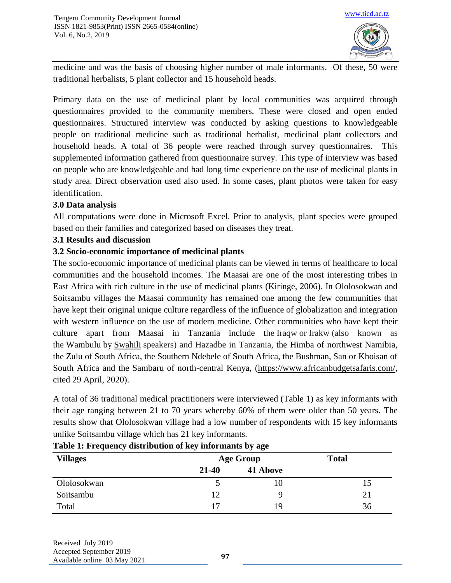

medicine and was the basis of choosing higher number of male informants. Of these, 50 were traditional herbalists, 5 plant collector and 15 household heads.

Primary data on the use of medicinal plant by local communities was acquired through questionnaires provided to the community members. These were closed and open ended questionnaires. Structured interview was conducted by asking questions to knowledgeable people on traditional medicine such as traditional herbalist, medicinal plant collectors and household heads. A total of 36 people were reached through survey questionnaires. This supplemented information gathered from questionnaire survey. This type of interview was based on people who are knowledgeable and had long time experience on the use of medicinal plants in study area. Direct observation used also used. In some cases, plant photos were taken for easy identification.

## **3.0 Data analysis**

All computations were done in Microsoft Excel. Prior to analysis, plant species were grouped based on their families and categorized based on diseases they treat.

## **3.1 Results and discussion**

## **3.2 Socio-economic importance of medicinal plants**

The socio-economic importance of medicinal plants can be viewed in terms of healthcare to local communities and the household incomes. The Maasai are one of the most interesting tribes in East Africa with rich culture in the use of medicinal plants (Kiringe, 2006). In Ololosokwan and Soitsambu villages the Maasai community has remained one among the few communities that have kept their original unique culture regardless of the influence of globalization and integration with western influence on the use of modern medicine. Other communities who have kept their culture apart from Maasai in Tanzania include the Iraqw or Irakw (also known as the Wambulu by [Swahili](https://en.wikipedia.org/wiki/Swahili_language) speakers) and Hazadbe in Tanzania, the Himba of northwest Namibia, the Zulu of South Africa, the Southern Ndebele of South Africa, the Bushman, San or Khoisan of South Africa and the Sambaru of north-central Kenya, [\(https://www.africanbudgetsafaris.com/,](https://www.africanbudgetsafaris.com/) cited 29 April, 2020).

A total of 36 traditional medical practitioners were interviewed (Table 1) as key informants with their age ranging between 21 to 70 years whereby 60% of them were older than 50 years. The results show that Ololosokwan village had a low number of respondents with 15 key informants unlike Soitsambu village which has 21 key informants.

| $\cdot$<br><b>Villages</b> | $\cdot$<br>$\cdot$<br>້<br><b>Age Group</b> |          | <b>Total</b> |
|----------------------------|---------------------------------------------|----------|--------------|
|                            | $21 - 40$                                   | 41 Above |              |
| Ololosokwan                |                                             | 10       | د.           |
| Soitsambu                  | 12                                          | q        | 21           |
| Total                      | 17                                          | 19       | 36           |

## **Table 1: Frequency distribution of key informants by age**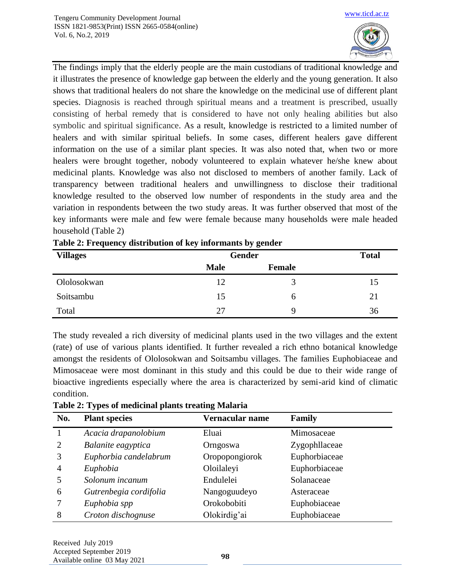

The findings imply that the elderly people are the main custodians of traditional knowledge and it illustrates the presence of knowledge gap between the elderly and the young generation. It also shows that traditional healers do not share the knowledge on the medicinal use of different plant species. Diagnosis is reached through spiritual means and a treatment is prescribed, usually consisting of herbal remedy that is considered to have not only healing abilities but also symbolic and spiritual significance. As a result, knowledge is restricted to a limited number of healers and with similar spiritual beliefs. In some cases, different healers gave different information on the use of a similar plant species. It was also noted that, when two or more healers were brought together, nobody volunteered to explain whatever he/she knew about medicinal plants. Knowledge was also not disclosed to members of another family. Lack of transparency between traditional healers and unwillingness to disclose their traditional knowledge resulted to the observed low number of respondents in the study area and the variation in respondents between the two study areas. It was further observed that most of the key informants were male and few were female because many households were male headed household (Table 2)

| <b>Villages</b> | <b>Gender</b> |               | <b>Total</b> |
|-----------------|---------------|---------------|--------------|
|                 | <b>Male</b>   | <b>Female</b> |              |
| Ololosokwan     | 12            | 3             | 15           |
| Soitsambu       | 15            | b             | 21           |
| Total           | 27            | 9             | 36           |

| Table 2: Frequency distribution of key informants by gender |  |  |  |
|-------------------------------------------------------------|--|--|--|
|-------------------------------------------------------------|--|--|--|

The study revealed a rich diversity of medicinal plants used in the two villages and the extent (rate) of use of various plants identified. It further revealed a rich ethno botanical knowledge amongst the residents of Ololosokwan and Soitsambu villages. The families Euphobiaceae and Mimosaceae were most dominant in this study and this could be due to their wide range of bioactive ingredients especially where the area is characterized by semi-arid kind of climatic condition.

| No.            | <b>Plant species</b>   | Vernacular name | Family        |
|----------------|------------------------|-----------------|---------------|
|                | Acacia drapanolobium   | Eluai           | Mimosaceae    |
| $\overline{2}$ | Balanite eagyptica     | Orngoswa        | Zygophllaceae |
| 3              | Euphorbia candelabrum  | Oropopongiorok  | Euphorbiaceae |
| 4              | Euphobia               | Oloilaleyi      | Euphorbiaceae |
|                | Solonum incanum        | Endulelei       | Solanaceae    |
| 6              | Gutrenbegia cordifolia | Nangoguudeyo    | Asteraceae    |
|                | Euphobia spp           | Orokobobiti     | Euphobiaceae  |
| 8              | Croton dischognuse     | Olokirdig'ai    | Euphobiaceae  |

**Table 2: Types of medicinal plants treating Malaria**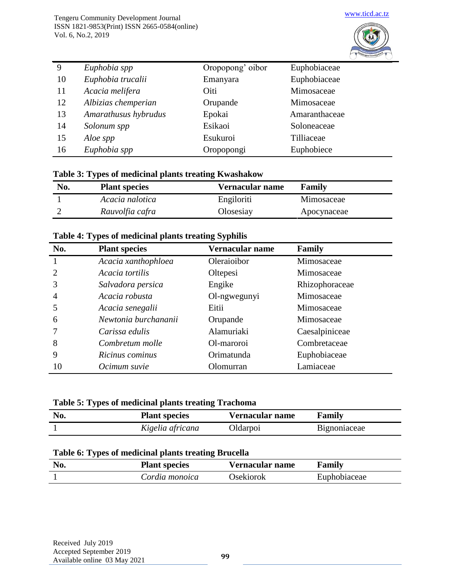

| 9  | Euphobia spp         | Oropopong' oibor | Euphobiaceae  |
|----|----------------------|------------------|---------------|
| 10 | Euphobia trucalii    | Emanyara         | Euphobiaceae  |
| 11 | Acacia melifera      | Oiti             | Mimosaceae    |
| 12 | Albizias chemperian  | Orupande         | Mimosaceae    |
| 13 | Amarathusus hybrudus | Epokai           | Amaranthaceae |
| 14 | Solonum spp          | Esikaoi          | Soloneaceae   |
| 15 | Aloe spp             | Esukuroi         | Tilliaceae    |
| 16 | Euphobia spp         | Oropopongi       | Euphobiece    |

#### **Table 3: Types of medicinal plants treating Kwashakow**

| No. | <b>Plant species</b> | Vernacular name | Family      |
|-----|----------------------|-----------------|-------------|
|     | Acacia nalotica      | Engiloriti      | Mimosaceae  |
|     | Rauvolfia cafra      | Olosesiay       | Apocynaceae |

#### **Table 4: Types of medicinal plants treating Syphilis**

| No.            | <b>Plant species</b> | Vernacular name | <b>Family</b>  |
|----------------|----------------------|-----------------|----------------|
|                | Acacia xanthophloea  | Oleraioibor     | Mimosaceae     |
| 2              | Acacia tortilis      | Oltepesi        | Mimosaceae     |
|                | Salvadora persica    | Engike          | Rhizophoraceae |
| $\overline{4}$ | Acacia robusta       | Ol-ngwegunyi    | Mimosaceae     |
|                | Acacia senegalii     | Eitii           | Mimosaceae     |
| 6              | Newtonia burchananii | Orupande        | Mimosaceae     |
|                | Carissa edulis       | Alamuriaki      | Caesalpiniceae |
| 8              | Combretum molle      | Ol-maroroi      | Combretaceae   |
| 9              | Ricinus cominus      | Orimatunda      | Euphobiaceae   |
| 10             | Ocimum suvie         | Olomurran       | Lamiaceae      |

## **Table 5: Types of medicinal plants treating Trachoma**

| No. | <b>Plant species</b> | Vernacular name | Family       |
|-----|----------------------|-----------------|--------------|
|     | Kigelia africana     | Oldarpoi        | Bignoniaceae |

#### **Table 6: Types of medicinal plants treating Brucella**

| <b>Plant species</b> | Vernacular name | Family       |
|----------------------|-----------------|--------------|
| Cordia monoica       | Osekiorok       | Euphobiaceae |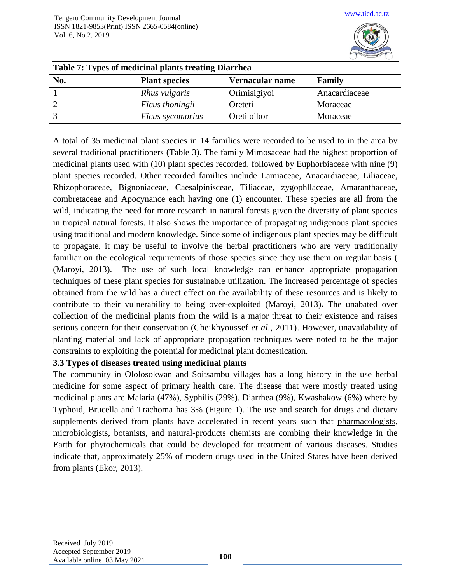

| Table 7: Types of medicinal plants treating Diarrhea |                      |                 |               |  |
|------------------------------------------------------|----------------------|-----------------|---------------|--|
| No.                                                  | <b>Plant species</b> | Vernacular name | Family        |  |
|                                                      | Rhus vulgaris        | Orimisigiyoi    | Anacardiaceae |  |
|                                                      | Ficus thoningii      | Oreteti         | Moraceae      |  |
|                                                      | Ficus sycomorius     | Oreti oibor     | Moraceae      |  |

A total of 35 medicinal plant species in 14 families were recorded to be used to in the area by several traditional practitioners (Table 3). The family Mimosaceae had the highest proportion of medicinal plants used with (10) plant species recorded, followed by Euphorbiaceae with nine (9) plant species recorded. Other recorded families include Lamiaceae, Anacardiaceae, Liliaceae, Rhizophoraceae, Bignoniaceae, Caesalpinisceae, Tiliaceae, zygophllaceae, Amaranthaceae, combretaceae and Apocynance each having one (1) encounter. These species are all from the wild, indicating the need for more research in natural forests given the diversity of plant species in tropical natural forests. It also shows the importance of propagating indigenous plant species using traditional and modern knowledge. Since some of indigenous plant species may be difficult to propagate, it may be useful to involve the herbal practitioners who are very traditionally familiar on the ecological requirements of those species since they use them on regular basis ( [\(Maroyi,](http://nopr.niscair.res.in/browse?type=author&value=Maroyi%2C+Alfred) 2013). The use of such local knowledge can enhance appropriate propagation techniques of these plant species for sustainable utilization. The increased percentage of species obtained from the wild has a direct effect on the availability of these resources and is likely to contribute to their vulnerability to being over-exploited [\(Maroyi,](http://nopr.niscair.res.in/browse?type=author&value=Maroyi%2C+Alfred) 2013)**.** The unabated over collection of the medicinal plants from the wild is a major threat to their existence and raises serious concern for their conservation [\(Cheikhyoussef](http://ascidatabase.com/author.php?author=A.&last=Cheikhyoussef) *et al.,* 2011). However, unavailability of planting material and lack of appropriate propagation techniques were noted to be the major constraints to exploiting the potential for medicinal plant domestication.

## **3.3 Types of diseases treated using medicinal plants**

The community in Ololosokwan and Soitsambu villages has a long history in the use herbal medicine for some aspect of primary health care. The disease that were mostly treated using medicinal plants are Malaria (47%), Syphilis (29%), Diarrhea (9%), Kwashakow (6%) where by Typhoid, Brucella and Trachoma has 3% (Figure 1). The use and search for drugs and dietary supplements derived from plants have accelerated in recent years such that [pharmacologists,](http://en.wikipedia.org/wiki/Pharmacology) [microbiologists,](http://en.wikipedia.org/wiki/Microbiology) [botanists,](http://en.wikipedia.org/wiki/Botany) and natural-products chemists are combing their knowledge in the Earth for [phytochemicals](http://en.wikipedia.org/wiki/Phytochemical) that could be developed for treatment of various diseases. Studies indicate that, approximately 25% of modern drugs used in the United States have been derived from plants (Ekor, 2013).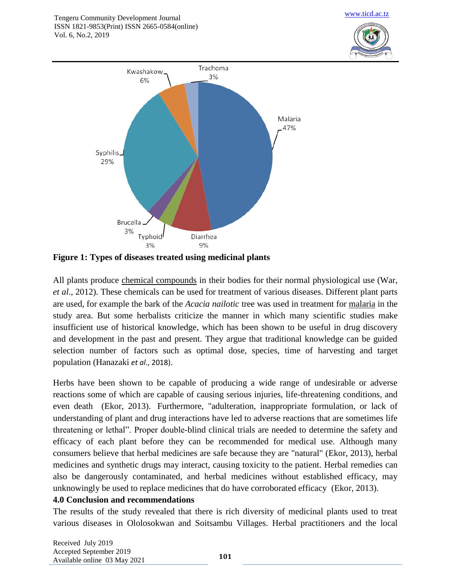



**Figure 1: Types of diseases treated using medicinal plants**

All plants produce [chemical compounds](http://en.wikipedia.org/wiki/Chemical_compounds) in their bodies for their normal physiological use (War, *et al*., 2012). These chemicals can be used for treatment of various diseases. Different plant parts are used, for example the bark of the *Acacia nailotic* tree was used in treatment for [malaria](http://en.wikipedia.org/wiki/Malaria) in the study area. But some herbalists criticize the manner in which many scientific studies make insufficient use of historical knowledge, which has been shown to be useful in drug discovery and development in the past and present. They argue that traditional knowledge can be guided selection number of factors such as optimal dose, species, time of harvesting and target population (Hanazaki *et al*., 2018).

Herbs have been shown to be capable of producing a wide range of undesirable or adverse reactions some of which are capable of causing serious injuries, life-threatening conditions, and even death [\(Ekor,](https://www.ncbi.nlm.nih.gov/pubmed/?term=Ekor%20M%5BAuthor%5D&cauthor=true&cauthor_uid=24454289) 2013). Furthermore, "adulteration, inappropriate formulation, or lack of understanding of plant and drug interactions have led to adverse reactions that are sometimes life threatening or lethal". Proper double-blind clinical trials are needed to determine the safety and efficacy of each plant before they can be recommended for medical use. Although many consumers believe that herbal medicines are safe because they are "natural" [\(Ekor,](https://www.ncbi.nlm.nih.gov/pubmed/?term=Ekor%20M%5BAuthor%5D&cauthor=true&cauthor_uid=24454289) 2013), herbal medicines and synthetic drugs may interact, causing toxicity to the patient. Herbal remedies can also be dangerously contaminated, and herbal medicines without established efficacy, may unknowingly be used to replace medicines that do have corroborated efficacy [\(Ekor,](https://www.ncbi.nlm.nih.gov/pubmed/?term=Ekor%20M%5BAuthor%5D&cauthor=true&cauthor_uid=24454289) 2013).

## **4.0 Conclusion and recommendations**

The results of the study revealed that there is rich diversity of medicinal plants used to treat various diseases in Ololosokwan and Soitsambu Villages. Herbal practitioners and the local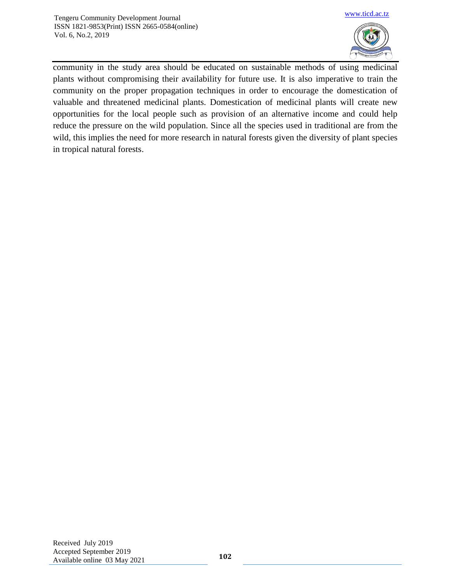

community in the study area should be educated on sustainable methods of using medicinal plants without compromising their availability for future use. It is also imperative to train the community on the proper propagation techniques in order to encourage the domestication of valuable and threatened medicinal plants. Domestication of medicinal plants will create new opportunities for the local people such as provision of an alternative income and could help reduce the pressure on the wild population. Since all the species used in traditional are from the wild, this implies the need for more research in natural forests given the diversity of plant species in tropical natural forests.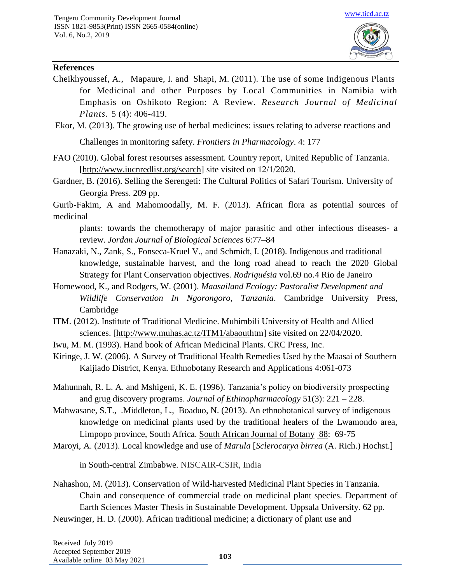

#### **References**

[Cheikhyoussef,](http://ascidatabase.com/author.php?author=A.&last=Cheikhyoussef) A., [Mapaure,](http://ascidatabase.com/author.php?author=I.&last=Mapaure) I. and [Shapi,](http://ascidatabase.com/author.php?author=Martin&last=Shapi) M. (2011). The use of some Indigenous Plants for Medicinal and other Purposes by Local Communities in Namibia with Emphasis on Oshikoto Region: A Review. *Research Journal of Medicinal Plants.* 5 (4): 406-419.

[Ekor,](https://www.ncbi.nlm.nih.gov/pubmed/?term=Ekor%20M%5BAuthor%5D&cauthor=true&cauthor_uid=24454289) M. (2013). The growing use of herbal medicines: issues relating to adverse reactions and

Challenges in monitoring safety. *Frontiers in Pharmacology*. 4: 177

FAO (2010). Global forest resourses assessment. Country report, United Republic of Tanzania. [\[http://www.iucnredlist.org/search\]](http://www.iucnredlist.org/search) site visited on 12/1/2020.

Gardner, B. (2016). Selling the Serengeti: The Cultural Politics of Safari Tourism. University of Georgia Press. 209 pp.

Gurib-Fakim, A and Mahomoodally, M. F. (2013). African flora as potential sources of medicinal

plants: towards the chemotherapy of major parasitic and other infectious diseases- a review. *Jordan Journal of Biological Sciences* 6:77–84

- Hanazaki, N., Zank, S., Fonseca-Kruel V., and Schmidt, I. (2018). Indigenous and traditional knowledge, sustainable harvest, and the long road ahead to reach the 2020 Global Strategy for Plant Conservation objectives. *Rodriguésia* vol.69 no.4 Rio de Janeiro
- Homewood, K., and Rodgers, W. (2001). *Maasailand Ecology: Pastoralist Development and Wildlife Conservation In Ngorongoro, Tanzania*. Cambridge University Press, Cambridge
- ITM. (2012). Institute of Traditional Medicine. Muhimbili University of Health and Allied sciences. [\[http://www.muhas.ac.tz/ITM1/abaouth](http://www.muhas.ac.tz/ITM1/abaout)tm] site visited on 22/04/2020.
- Iwu, M. M. (1993). Hand book of African Medicinal Plants. CRC Press, Inc.

Kiringe, J. W. (2006). A Survey of Traditional Health Remedies Used by the Maasai of Southern Kaijiado District, Kenya. Ethnobotany Research and Applications 4:061-073

- Mahunnah, R. L. A. and Mshigeni, K. E. (1996). Tanzania's policy on biodiversity prospecting and grug discovery programs. *Journal of Ethinopharmacology* 51(3): 221 – 228.
- [Mahwasane,](https://www.sciencedirect.com/science/article/pii/S0254629913002615#!) S.T., [.Middleton,](https://www.sciencedirect.com/science/article/pii/S0254629913002615#!) L., [Boaduo,](https://www.sciencedirect.com/science/article/pii/S0254629913002615#!) N. (2013). An ethnobotanical survey of indigenous knowledge on medicinal plants used by the traditional healers of the Lwamondo area, Limpopo province, South Africa. [South African Journal of Botany](https://www.sciencedirect.com/science/journal/02546299) [88:](https://www.sciencedirect.com/science/journal/02546299/88/supp/C) 69-75
- [Maroyi,](http://nopr.niscair.res.in/browse?type=author&value=Maroyi%2C+Alfred) A. (2013). Local knowledge and use of *Marula* [*Sclerocarya birrea* (A. Rich.) Hochst.]

in South-central Zimbabwe. NISCAIR-CSIR, India

Nahashon, M. (2013). Conservation of Wild-harvested Medicinal Plant Species in Tanzania. Chain and consequence of commercial trade on medicinal plant species. Department of Earth Sciences Master Thesis in Sustainable Development. Uppsala University. 62 pp. Neuwinger, H. D. (2000). African traditional medicine; a dictionary of plant use and